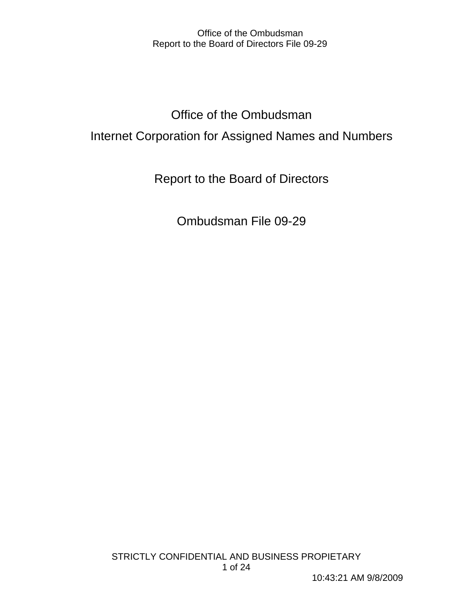# Office of the Ombudsman Internet Corporation for Assigned Names and Numbers

Report to the Board of Directors

Ombudsman File 09-29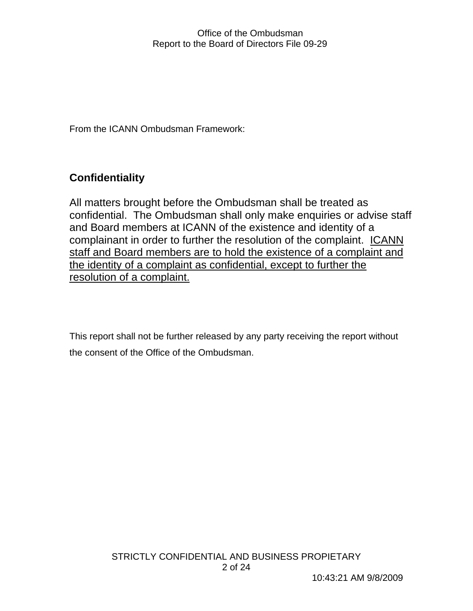From the ICANN Ombudsman Framework:

## **Confidentiality**

All matters brought before the Ombudsman shall be treated as confidential. The Ombudsman shall only make enquiries or advise staff and Board members at ICANN of the existence and identity of a complainant in order to further the resolution of the complaint. ICANN staff and Board members are to hold the existence of a complaint and the identity of a complaint as confidential, except to further the resolution of a complaint.

This report shall not be further released by any party receiving the report without the consent of the Office of the Ombudsman.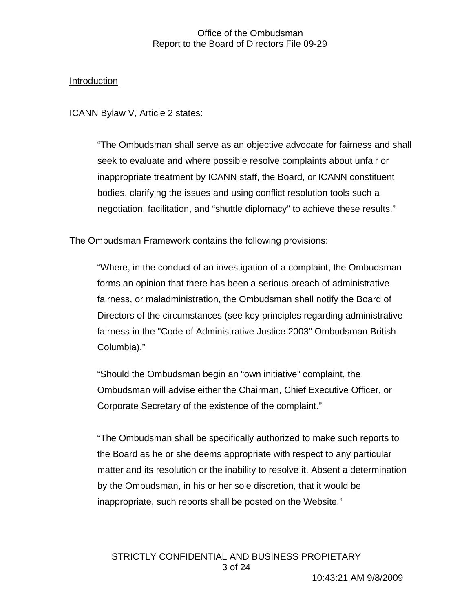## Introduction

ICANN Bylaw V, Article 2 states:

"The Ombudsman shall serve as an objective advocate for fairness and shall seek to evaluate and where possible resolve complaints about unfair or inappropriate treatment by ICANN staff, the Board, or ICANN constituent bodies, clarifying the issues and using conflict resolution tools such a negotiation, facilitation, and "shuttle diplomacy" to achieve these results."

The Ombudsman Framework contains the following provisions:

"Where, in the conduct of an investigation of a complaint, the Ombudsman forms an opinion that there has been a serious breach of administrative fairness, or maladministration, the Ombudsman shall notify the Board of Directors of the circumstances (see key principles regarding administrative fairness in the "Code of Administrative Justice 2003" Ombudsman British Columbia)."

"Should the Ombudsman begin an "own initiative" complaint, the Ombudsman will advise either the Chairman, Chief Executive Officer, or Corporate Secretary of the existence of the complaint."

"The Ombudsman shall be specifically authorized to make such reports to the Board as he or she deems appropriate with respect to any particular matter and its resolution or the inability to resolve it. Absent a determination by the Ombudsman, in his or her sole discretion, that it would be inappropriate, such reports shall be posted on the Website."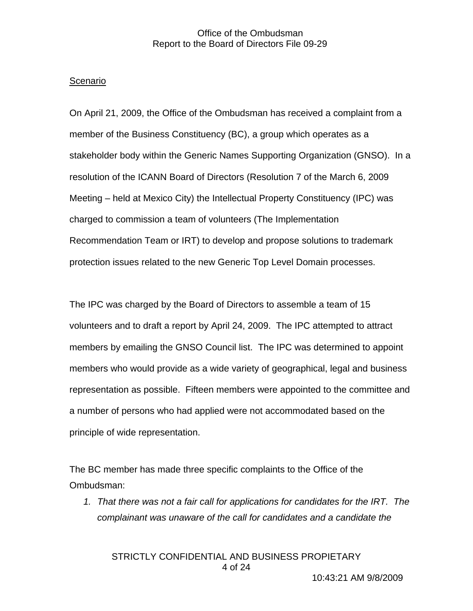#### Scenario

On April 21, 2009, the Office of the Ombudsman has received a complaint from a member of the Business Constituency (BC), a group which operates as a stakeholder body within the Generic Names Supporting Organization (GNSO). In a resolution of the ICANN Board of Directors (Resolution 7 of the March 6, 2009 Meeting – held at Mexico City) the Intellectual Property Constituency (IPC) was charged to commission a team of volunteers (The Implementation Recommendation Team or IRT) to develop and propose solutions to trademark protection issues related to the new Generic Top Level Domain processes.

The IPC was charged by the Board of Directors to assemble a team of 15 volunteers and to draft a report by April 24, 2009. The IPC attempted to attract members by emailing the GNSO Council list. The IPC was determined to appoint members who would provide as a wide variety of geographical, legal and business representation as possible. Fifteen members were appointed to the committee and a number of persons who had applied were not accommodated based on the principle of wide representation.

The BC member has made three specific complaints to the Office of the Ombudsman:

*1. That there was not a fair call for applications for candidates for the IRT. The complainant was unaware of the call for candidates and a candidate the* 

STRICTLY CONFIDENTIAL AND BUSINESS PROPIETARY 4 of 24

10:43:21 AM 9/8/2009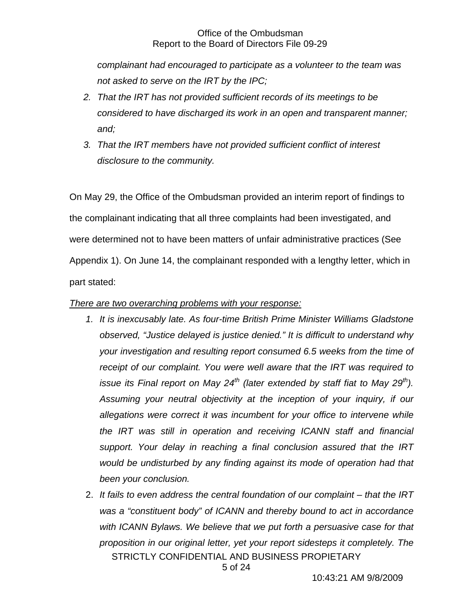*complainant had encouraged to participate as a volunteer to the team was not asked to serve on the IRT by the IPC;* 

- *2. That the IRT has not provided sufficient records of its meetings to be considered to have discharged its work in an open and transparent manner; and;*
- *3. That the IRT members have not provided sufficient conflict of interest disclosure to the community.*

On May 29, the Office of the Ombudsman provided an interim report of findings to the complainant indicating that all three complaints had been investigated, and were determined not to have been matters of unfair administrative practices (See Appendix 1). On June 14, the complainant responded with a lengthy letter, which in part stated:

## *There are two overarching problems with your response:*

- *1. It is inexcusably late. As four-time British Prime Minister Williams Gladstone observed, "Justice delayed is justice denied." It is difficult to understand why your investigation and resulting report consumed 6.5 weeks from the time of receipt of our complaint. You were well aware that the IRT was required to issue its Final report on May 24<sup>th</sup> (later extended by staff fiat to May 29<sup>th</sup>). Assuming your neutral objectivity at the inception of your inquiry, if our allegations were correct it was incumbent for your office to intervene while the IRT was still in operation and receiving ICANN staff and financial support. Your delay in reaching a final conclusion assured that the IRT would be undisturbed by any finding against its mode of operation had that been your conclusion.*
- 2. *It fails to even address the central foundation of our complaint that the IRT was a "constituent body" of ICANN and thereby bound to act in accordance with ICANN Bylaws. We believe that we put forth a persuasive case for that proposition in our original letter, yet your report sidesteps it completely. The*  STRICTLY CONFIDENTIAL AND BUSINESS PROPIETARY

5 of 24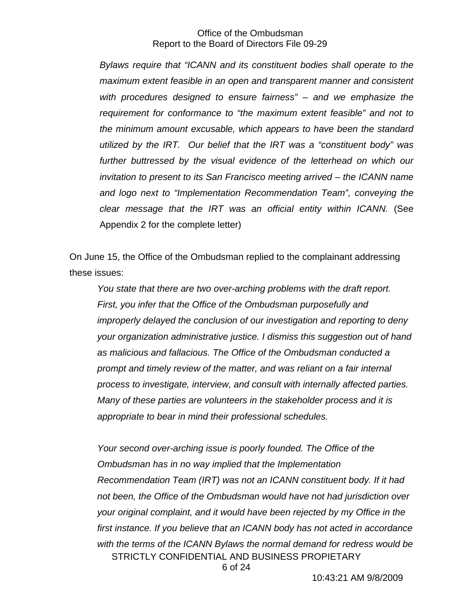*Bylaws require that "ICANN and its constituent bodies shall operate to the maximum extent feasible in an open and transparent manner and consistent with procedures designed to ensure fairness" – and we emphasize the requirement for conformance to "the maximum extent feasible" and not to the minimum amount excusable, which appears to have been the standard utilized by the IRT. Our belief that the IRT was a "constituent body" was*  further buttressed by the visual evidence of the letterhead on which our *invitation to present to its San Francisco meeting arrived – the ICANN name and logo next to "Implementation Recommendation Team", conveying the clear message that the IRT was an official entity within ICANN.* (See Appendix 2 for the complete letter)

On June 15, the Office of the Ombudsman replied to the complainant addressing these issues:

*You state that there are two over-arching problems with the draft report. First, you infer that the Office of the Ombudsman purposefully and improperly delayed the conclusion of our investigation and reporting to deny your organization administrative justice. I dismiss this suggestion out of hand as malicious and fallacious. The Office of the Ombudsman conducted a prompt and timely review of the matter, and was reliant on a fair internal process to investigate, interview, and consult with internally affected parties. Many of these parties are volunteers in the stakeholder process and it is appropriate to bear in mind their professional schedules.* 

*Your second over-arching issue is poorly founded. The Office of the Ombudsman has in no way implied that the Implementation Recommendation Team (IRT) was not an ICANN constituent body. If it had not been, the Office of the Ombudsman would have not had jurisdiction over your original complaint, and it would have been rejected by my Office in the first instance. If you believe that an ICANN body has not acted in accordance with the terms of the ICANN Bylaws the normal demand for redress would be*  STRICTLY CONFIDENTIAL AND BUSINESS PROPIETARY

6 of 24

10:43:21 AM 9/8/2009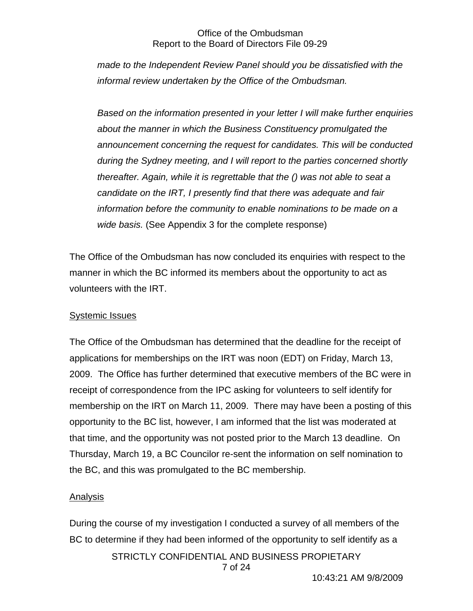*made to the Independent Review Panel should you be dissatisfied with the informal review undertaken by the Office of the Ombudsman.* 

*Based on the information presented in your letter I will make further enquiries about the manner in which the Business Constituency promulgated the announcement concerning the request for candidates. This will be conducted during the Sydney meeting, and I will report to the parties concerned shortly thereafter. Again, while it is regrettable that the () was not able to seat a candidate on the IRT, I presently find that there was adequate and fair information before the community to enable nominations to be made on a wide basis.* (See Appendix 3 for the complete response)

The Office of the Ombudsman has now concluded its enquiries with respect to the manner in which the BC informed its members about the opportunity to act as volunteers with the IRT.

## Systemic Issues

The Office of the Ombudsman has determined that the deadline for the receipt of applications for memberships on the IRT was noon (EDT) on Friday, March 13, 2009. The Office has further determined that executive members of the BC were in receipt of correspondence from the IPC asking for volunteers to self identify for membership on the IRT on March 11, 2009. There may have been a posting of this opportunity to the BC list, however, I am informed that the list was moderated at that time, and the opportunity was not posted prior to the March 13 deadline. On Thursday, March 19, a BC Councilor re-sent the information on self nomination to the BC, and this was promulgated to the BC membership.

## Analysis

During the course of my investigation I conducted a survey of all members of the BC to determine if they had been informed of the opportunity to self identify as a STRICTLY CONFIDENTIAL AND BUSINESS PROPIETARY 7 of 24

10:43:21 AM 9/8/2009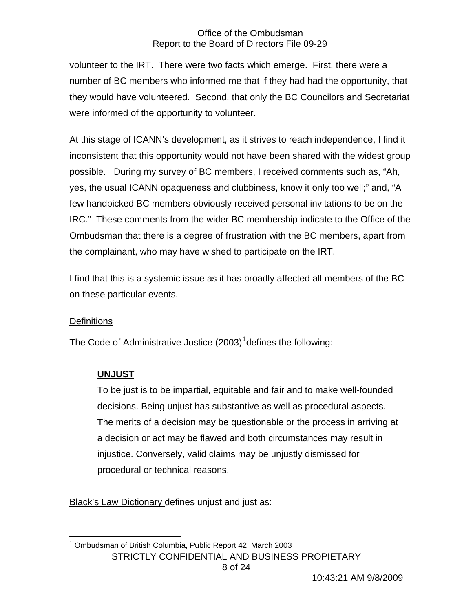volunteer to the IRT. There were two facts which emerge. First, there were a number of BC members who informed me that if they had had the opportunity, that they would have volunteered. Second, that only the BC Councilors and Secretariat were informed of the opportunity to volunteer.

At this stage of ICANN's development, as it strives to reach independence, I find it inconsistent that this opportunity would not have been shared with the widest group possible. During my survey of BC members, I received comments such as, "Ah, yes, the usual ICANN opaqueness and clubbiness, know it only too well;" and, "A few handpicked BC members obviously received personal invitations to be on the IRC." These comments from the wider BC membership indicate to the Office of the Ombudsman that there is a degree of frustration with the BC members, apart from the complainant, who may have wished to participate on the IRT.

I find that this is a systemic issue as it has broadly affected all members of the BC on these particular events.

## **Definitions**

The Code of Administrative Justice (2003)<sup>[1](#page-7-0)</sup> defines the following:

## **UNJUST**

To be just is to be impartial, equitable and fair and to make well-founded decisions. Being unjust has substantive as well as procedural aspects. The merits of a decision may be questionable or the process in arriving at a decision or act may be flawed and both circumstances may result in injustice. Conversely, valid claims may be unjustly dismissed for procedural or technical reasons.

Black's Law Dictionary defines unjust and just as:

<span id="page-7-0"></span> 1 Ombudsman of British Columbia, Public Report 42, March 2003 STRICTLY CONFIDENTIAL AND BUSINESS PROPIETARY 8 of 24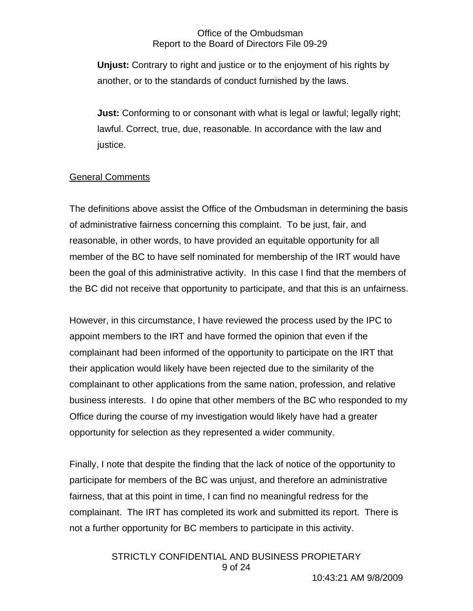**Unjust:** Contrary to right and justice or to the enjoyment of his rights by another, or to the standards of conduct furnished by the laws.

**Just:** Conforming to or consonant with what is legal or lawful; legally right; lawful. Correct, true, due, reasonable. In accordance with the law and justice.

## General Comments

The definitions above assist the Office of the Ombudsman in determining the basis of administrative fairness concerning this complaint. To be just, fair, and reasonable, in other words, to have provided an equitable opportunity for all member of the BC to have self nominated for membership of the IRT would have been the goal of this administrative activity. In this case I find that the members of the BC did not receive that opportunity to participate, and that this is an unfairness.

However, in this circumstance, I have reviewed the process used by the IPC to appoint members to the IRT and have formed the opinion that even if the complainant had been informed of the opportunity to participate on the IRT that their application would likely have been rejected due to the similarity of the complainant to other applications from the same nation, profession, and relative business interests. I do opine that other members of the BC who responded to my Office during the course of my investigation would likely have had a greater opportunity for selection as they represented a wider community.

Finally, I note that despite the finding that the lack of notice of the opportunity to participate for members of the BC was unjust, and therefore an administrative fairness, that at this point in time, I can find no meaningful redress for the complainant. The IRT has completed its work and submitted its report. There is not a further opportunity for BC members to participate in this activity.

> STRICTLY CONFIDENTIAL AND BUSINESS PROPIETARY 9 of 24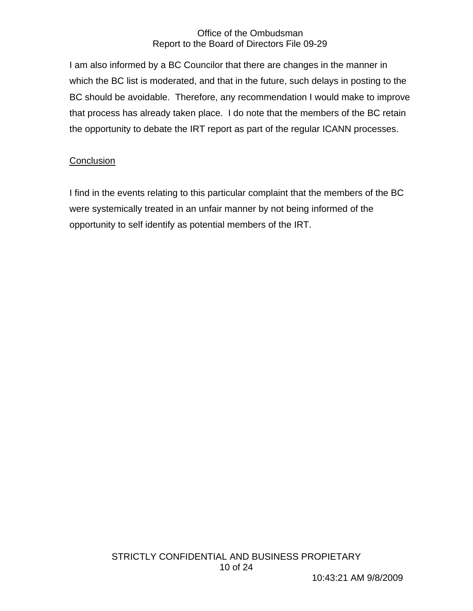I am also informed by a BC Councilor that there are changes in the manner in which the BC list is moderated, and that in the future, such delays in posting to the BC should be avoidable. Therefore, any recommendation I would make to improve that process has already taken place. I do note that the members of the BC retain the opportunity to debate the IRT report as part of the regular ICANN processes.

## **Conclusion**

I find in the events relating to this particular complaint that the members of the BC were systemically treated in an unfair manner by not being informed of the opportunity to self identify as potential members of the IRT.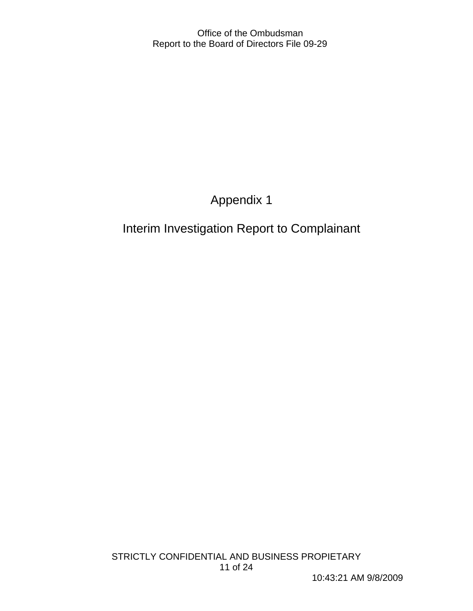## Appendix 1

## Interim Investigation Report to Complainant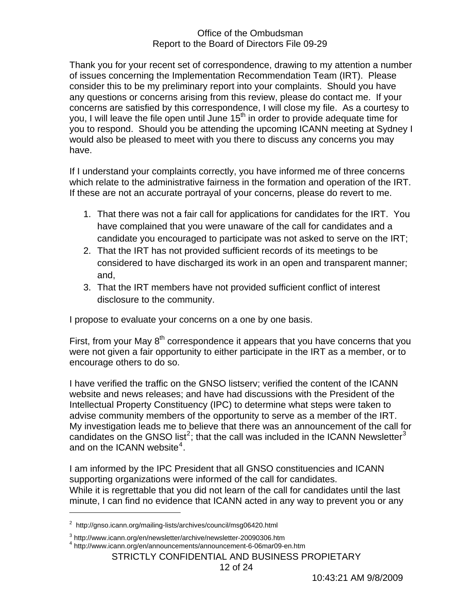Thank you for your recent set of correspondence, drawing to my attention a number of issues concerning the Implementation Recommendation Team (IRT). Please consider this to be my preliminary report into your complaints. Should you have any questions or concerns arising from this review, please do contact me. If your concerns are satisfied by this correspondence, I will close my file. As a courtesy to you, I will leave the file open until June 15<sup>th</sup> in order to provide adequate time for you to respond. Should you be attending the upcoming ICANN meeting at Sydney I would also be pleased to meet with you there to discuss any concerns you may have.

If I understand your complaints correctly, you have informed me of three concerns which relate to the administrative fairness in the formation and operation of the IRT. If these are not an accurate portrayal of your concerns, please do revert to me.

- 1. That there was not a fair call for applications for candidates for the IRT. You have complained that you were unaware of the call for candidates and a candidate you encouraged to participate was not asked to serve on the IRT;
- 2. That the IRT has not provided sufficient records of its meetings to be considered to have discharged its work in an open and transparent manner; and,
- 3. That the IRT members have not provided sufficient conflict of interest disclosure to the community.

I propose to evaluate your concerns on a one by one basis.

First, from your May  $8<sup>th</sup>$  correspondence it appears that you have concerns that you were not given a fair opportunity to either participate in the IRT as a member, or to encourage others to do so.

I have verified the traffic on the GNSO listserv; verified the content of the ICANN website and news releases; and have had discussions with the President of the Intellectual Property Constituency (IPC) to determine what steps were taken to advise community members of the opportunity to serve as a member of the IRT. My investigation leads me to believe that there was an announcement of the call for candidates on the GNSO list<sup>[2](#page-11-0)</sup>; that the call was included in the ICANN Newsletter<sup>[3](#page-11-1)</sup> and on the ICANN website $4$ .

I am informed by the IPC President that all GNSO constituencies and ICANN supporting organizations were informed of the call for candidates. While it is regrettable that you did not learn of the call for candidates until the last minute, I can find no evidence that ICANN acted in any way to prevent you or any

 $\overline{a}$ 

<span id="page-11-0"></span><sup>&</sup>lt;sup>2</sup> http://gnso.icann.org/mailing-lists/archives/council/msg06420.html

<sup>&</sup>lt;sup>3</sup> http://www.icann.org/en/newsletter/archive/newsletter-20090306.htm

<span id="page-11-2"></span><span id="page-11-1"></span><sup>4</sup> http://www.icann.org/en/announcements/announcement-6-06mar09-en.htm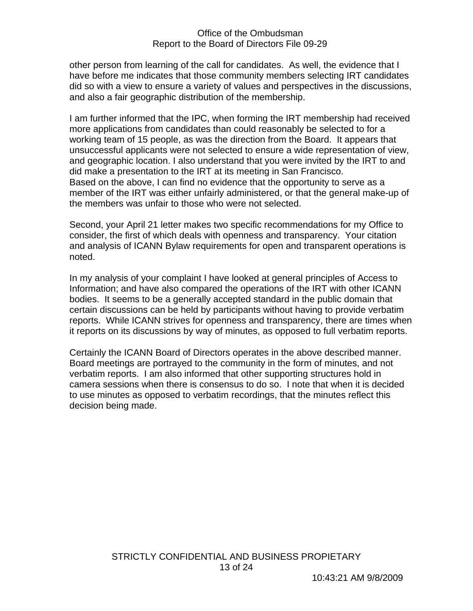other person from learning of the call for candidates. As well, the evidence that I have before me indicates that those community members selecting IRT candidates did so with a view to ensure a variety of values and perspectives in the discussions, and also a fair geographic distribution of the membership.

I am further informed that the IPC, when forming the IRT membership had received more applications from candidates than could reasonably be selected to for a working team of 15 people, as was the direction from the Board. It appears that unsuccessful applicants were not selected to ensure a wide representation of view, and geographic location. I also understand that you were invited by the IRT to and did make a presentation to the IRT at its meeting in San Francisco. Based on the above, I can find no evidence that the opportunity to serve as a member of the IRT was either unfairly administered, or that the general make-up of the members was unfair to those who were not selected.

Second, your April 21 letter makes two specific recommendations for my Office to consider, the first of which deals with openness and transparency. Your citation and analysis of ICANN Bylaw requirements for open and transparent operations is noted.

In my analysis of your complaint I have looked at general principles of Access to Information; and have also compared the operations of the IRT with other ICANN bodies. It seems to be a generally accepted standard in the public domain that certain discussions can be held by participants without having to provide verbatim reports. While ICANN strives for openness and transparency, there are times when it reports on its discussions by way of minutes, as opposed to full verbatim reports.

Certainly the ICANN Board of Directors operates in the above described manner. Board meetings are portrayed to the community in the form of minutes, and not verbatim reports. I am also informed that other supporting structures hold in camera sessions when there is consensus to do so. I note that when it is decided to use minutes as opposed to verbatim recordings, that the minutes reflect this decision being made.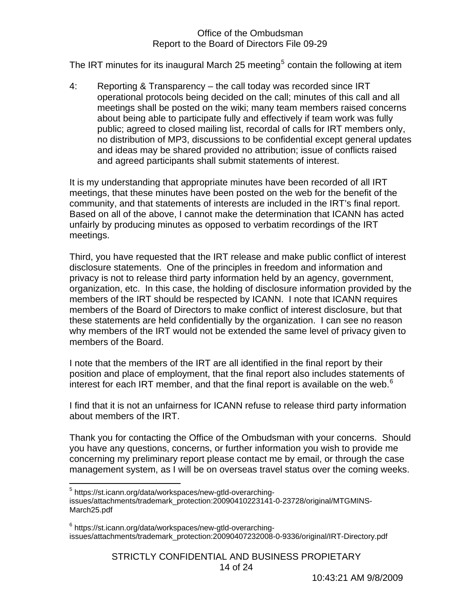The IRT minutes for its inaugural March 2[5](#page-13-0) meeting<sup>5</sup> contain the following at item

4: Reporting & Transparency – the call today was recorded since IRT operational protocols being decided on the call; minutes of this call and all meetings shall be posted on the wiki; many team members raised concerns about being able to participate fully and effectively if team work was fully public; agreed to closed mailing list, recordal of calls for IRT members only, no distribution of MP3, discussions to be confidential except general updates and ideas may be shared provided no attribution; issue of conflicts raised and agreed participants shall submit statements of interest.

It is my understanding that appropriate minutes have been recorded of all IRT meetings, that these minutes have been posted on the web for the benefit of the community, and that statements of interests are included in the IRT's final report. Based on all of the above, I cannot make the determination that ICANN has acted unfairly by producing minutes as opposed to verbatim recordings of the IRT meetings.

Third, you have requested that the IRT release and make public conflict of interest disclosure statements. One of the principles in freedom and information and privacy is not to release third party information held by an agency, government, organization, etc. In this case, the holding of disclosure information provided by the members of the IRT should be respected by ICANN. I note that ICANN requires members of the Board of Directors to make conflict of interest disclosure, but that these statements are held confidentially by the organization. I can see no reason why members of the IRT would not be extended the same level of privacy given to members of the Board.

I note that the members of the IRT are all identified in the final report by their position and place of employment, that the final report also includes statements of interest for each IRT member, and that the final report is available on the web. $6$ 

I find that it is not an unfairness for ICANN refuse to release third party information about members of the IRT.

Thank you for contacting the Office of the Ombudsman with your concerns. Should you have any questions, concerns, or further information you wish to provide me concerning my preliminary report please contact me by email, or through the case management system, as I will be on overseas travel status over the coming weeks.

 $\overline{a}$ 

<span id="page-13-1"></span><sup>6</sup> https://st.icann.org/data/workspaces/new-gtld-overarchingissues/attachments/trademark\_protection:20090407232008-0-9336/original/IRT-Directory.pdf

> STRICTLY CONFIDENTIAL AND BUSINESS PROPIETARY 14 of 24

<span id="page-13-0"></span><sup>&</sup>lt;sup>5</sup> https://st.icann.org/data/workspaces/new-gtld-overarching-

issues/attachments/trademark\_protection:20090410223141-0-23728/original/MTGMINS-March25.pdf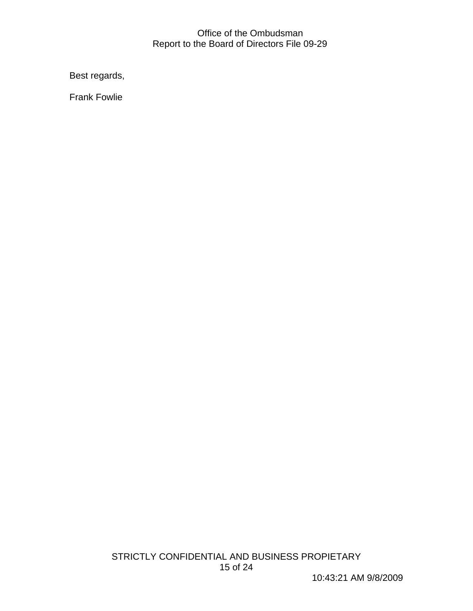Best regards,

Frank Fowlie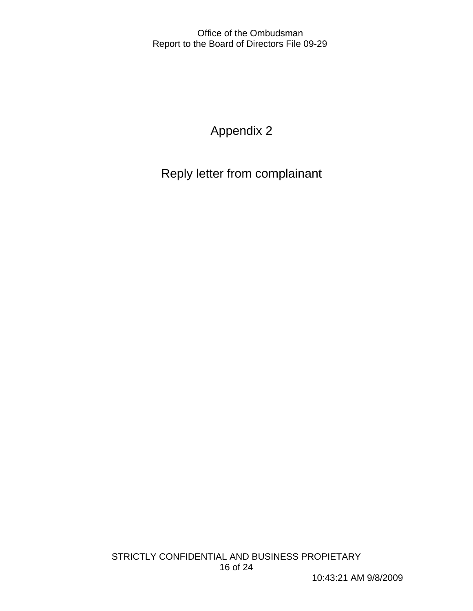Appendix 2

Reply letter from complainant

10:43:21 AM 9/8/2009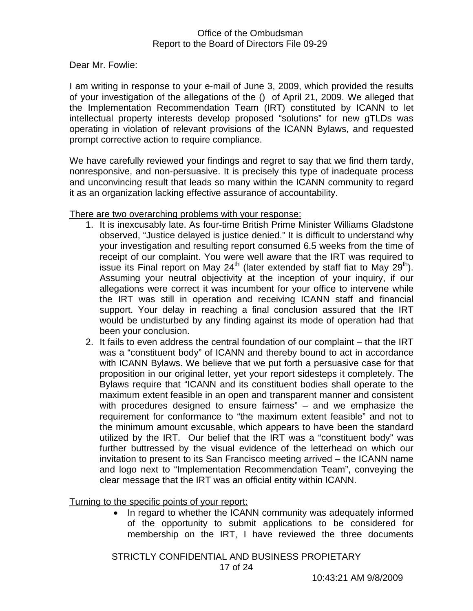Dear Mr. Fowlie:

I am writing in response to your e-mail of June 3, 2009, which provided the results of your investigation of the allegations of the () of April 21, 2009. We alleged that the Implementation Recommendation Team (IRT) constituted by ICANN to let intellectual property interests develop proposed "solutions" for new gTLDs was operating in violation of relevant provisions of the ICANN Bylaws, and requested prompt corrective action to require compliance.

We have carefully reviewed your findings and regret to say that we find them tardy, nonresponsive, and non-persuasive. It is precisely this type of inadequate process and unconvincing result that leads so many within the ICANN community to regard it as an organization lacking effective assurance of accountability.

#### There are two overarching problems with your response:

- 1. It is inexcusably late. As four-time British Prime Minister Williams Gladstone observed, "Justice delayed is justice denied." It is difficult to understand why your investigation and resulting report consumed 6.5 weeks from the time of receipt of our complaint. You were well aware that the IRT was required to issue its Final report on May 24<sup>th</sup> (later extended by staff fiat to May 29<sup>th</sup>). Assuming your neutral objectivity at the inception of your inquiry, if our allegations were correct it was incumbent for your office to intervene while the IRT was still in operation and receiving ICANN staff and financial support. Your delay in reaching a final conclusion assured that the IRT would be undisturbed by any finding against its mode of operation had that been your conclusion.
- 2. It fails to even address the central foundation of our complaint that the IRT was a "constituent body" of ICANN and thereby bound to act in accordance with ICANN Bylaws. We believe that we put forth a persuasive case for that proposition in our original letter, yet your report sidesteps it completely. The Bylaws require that "ICANN and its constituent bodies shall operate to the maximum extent feasible in an open and transparent manner and consistent with procedures designed to ensure fairness" – and we emphasize the requirement for conformance to "the maximum extent feasible" and not to the minimum amount excusable, which appears to have been the standard utilized by the IRT. Our belief that the IRT was a "constituent body" was further buttressed by the visual evidence of the letterhead on which our invitation to present to its San Francisco meeting arrived – the ICANN name and logo next to "Implementation Recommendation Team", conveying the clear message that the IRT was an official entity within ICANN.

Turning to the specific points of your report:

• In regard to whether the ICANN community was adequately informed of the opportunity to submit applications to be considered for membership on the IRT, I have reviewed the three documents

STRICTLY CONFIDENTIAL AND BUSINESS PROPIETARY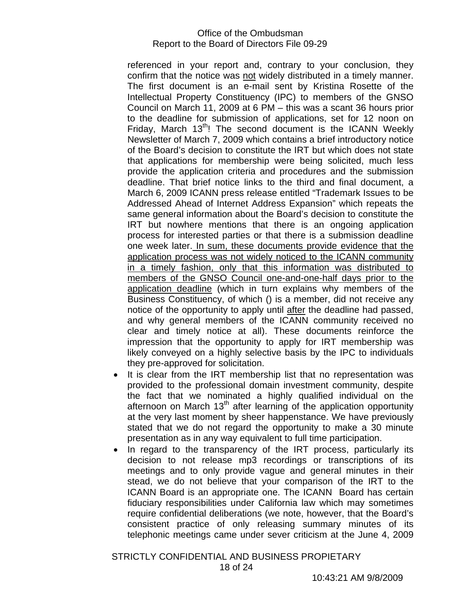referenced in your report and, contrary to your conclusion, they confirm that the notice was not widely distributed in a timely manner. The first document is an e-mail sent by Kristina Rosette of the Intellectual Property Constituency (IPC) to members of the GNSO Council on March 11, 2009 at 6 PM – this was a scant 36 hours prior to the deadline for submission of applications, set for 12 noon on Friday, March  $13<sup>th</sup>$ ! The second document is the ICANN Weekly Newsletter of March 7, 2009 which contains a brief introductory notice of the Board's decision to constitute the IRT but which does not state that applications for membership were being solicited, much less provide the application criteria and procedures and the submission deadline. That brief notice links to the third and final document, a March 6, 2009 ICANN press release entitled "Trademark Issues to be Addressed Ahead of Internet Address Expansion" which repeats the same general information about the Board's decision to constitute the IRT but nowhere mentions that there is an ongoing application process for interested parties or that there is a submission deadline one week later. In sum, these documents provide evidence that the application process was not widely noticed to the ICANN community in a timely fashion, only that this information was distributed to members of the GNSO Council one-and-one-half days prior to the application deadline (which in turn explains why members of the Business Constituency, of which () is a member, did not receive any notice of the opportunity to apply until after the deadline had passed, and why general members of the ICANN community received no clear and timely notice at all). These documents reinforce the impression that the opportunity to apply for IRT membership was likely conveyed on a highly selective basis by the IPC to individuals they pre-approved for solicitation.

- It is clear from the IRT membership list that no representation was provided to the professional domain investment community, despite the fact that we nominated a highly qualified individual on the afternoon on March  $13<sup>th</sup>$  after learning of the application opportunity at the very last moment by sheer happenstance. We have previously stated that we do not regard the opportunity to make a 30 minute presentation as in any way equivalent to full time participation.
- In regard to the transparency of the IRT process, particularly its decision to not release mp3 recordings or transcriptions of its meetings and to only provide vague and general minutes in their stead, we do not believe that your comparison of the IRT to the ICANN Board is an appropriate one. The ICANN Board has certain fiduciary responsibilities under California law which may sometimes require confidential deliberations (we note, however, that the Board's consistent practice of only releasing summary minutes of its telephonic meetings came under sever criticism at the June 4, 2009

STRICTLY CONFIDENTIAL AND BUSINESS PROPIETARY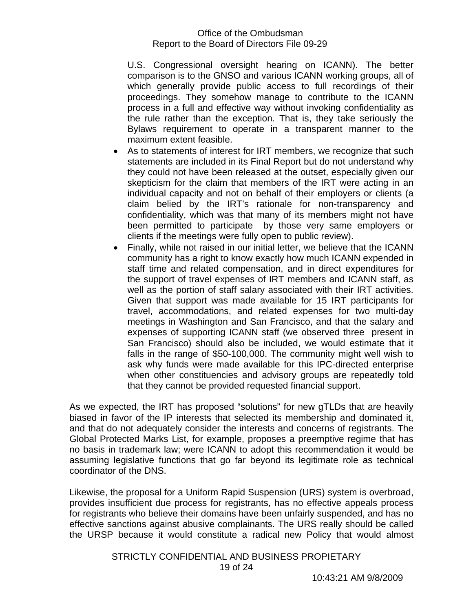U.S. Congressional oversight hearing on ICANN). The better comparison is to the GNSO and various ICANN working groups, all of which generally provide public access to full recordings of their proceedings. They somehow manage to contribute to the ICANN process in a full and effective way without invoking confidentiality as the rule rather than the exception. That is, they take seriously the Bylaws requirement to operate in a transparent manner to the maximum extent feasible.

- As to statements of interest for IRT members, we recognize that such statements are included in its Final Report but do not understand why they could not have been released at the outset, especially given our skepticism for the claim that members of the IRT were acting in an individual capacity and not on behalf of their employers or clients (a claim belied by the IRT's rationale for non-transparency and confidentiality, which was that many of its members might not have been permitted to participate by those very same employers or clients if the meetings were fully open to public review).
- Finally, while not raised in our initial letter, we believe that the ICANN community has a right to know exactly how much ICANN expended in staff time and related compensation, and in direct expenditures for the support of travel expenses of IRT members and ICANN staff, as well as the portion of staff salary associated with their IRT activities. Given that support was made available for 15 IRT participants for travel, accommodations, and related expenses for two multi-day meetings in Washington and San Francisco, and that the salary and expenses of supporting ICANN staff (we observed three present in San Francisco) should also be included, we would estimate that it falls in the range of \$50-100,000. The community might well wish to ask why funds were made available for this IPC-directed enterprise when other constituencies and advisory groups are repeatedly told that they cannot be provided requested financial support.

As we expected, the IRT has proposed "solutions" for new gTLDs that are heavily biased in favor of the IP interests that selected its membership and dominated it, and that do not adequately consider the interests and concerns of registrants. The Global Protected Marks List, for example, proposes a preemptive regime that has no basis in trademark law; were ICANN to adopt this recommendation it would be assuming legislative functions that go far beyond its legitimate role as technical coordinator of the DNS.

Likewise, the proposal for a Uniform Rapid Suspension (URS) system is overbroad, provides insufficient due process for registrants, has no effective appeals process for registrants who believe their domains have been unfairly suspended, and has no effective sanctions against abusive complainants. The URS really should be called the URSP because it would constitute a radical new Policy that would almost

> STRICTLY CONFIDENTIAL AND BUSINESS PROPIETARY 19 of 24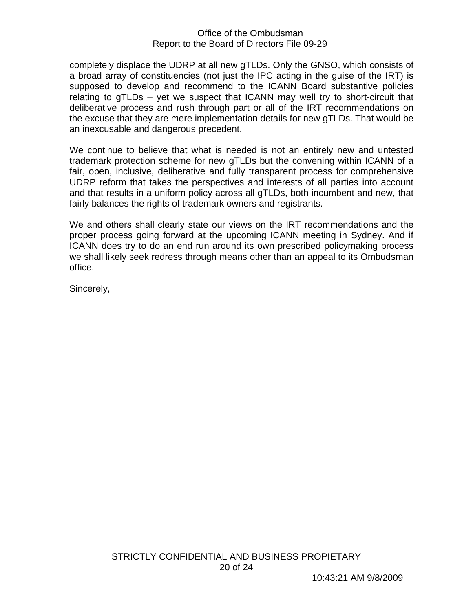completely displace the UDRP at all new gTLDs. Only the GNSO, which consists of a broad array of constituencies (not just the IPC acting in the guise of the IRT) is supposed to develop and recommend to the ICANN Board substantive policies relating to gTLDs – yet we suspect that ICANN may well try to short-circuit that deliberative process and rush through part or all of the IRT recommendations on the excuse that they are mere implementation details for new gTLDs. That would be an inexcusable and dangerous precedent.

We continue to believe that what is needed is not an entirely new and untested trademark protection scheme for new gTLDs but the convening within ICANN of a fair, open, inclusive, deliberative and fully transparent process for comprehensive UDRP reform that takes the perspectives and interests of all parties into account and that results in a uniform policy across all gTLDs, both incumbent and new, that fairly balances the rights of trademark owners and registrants.

We and others shall clearly state our views on the IRT recommendations and the proper process going forward at the upcoming ICANN meeting in Sydney. And if ICANN does try to do an end run around its own prescribed policymaking process we shall likely seek redress through means other than an appeal to its Ombudsman office.

Sincerely,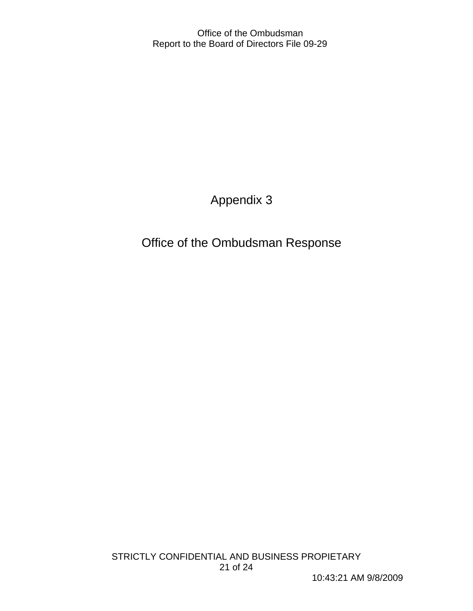Appendix 3

Office of the Ombudsman Response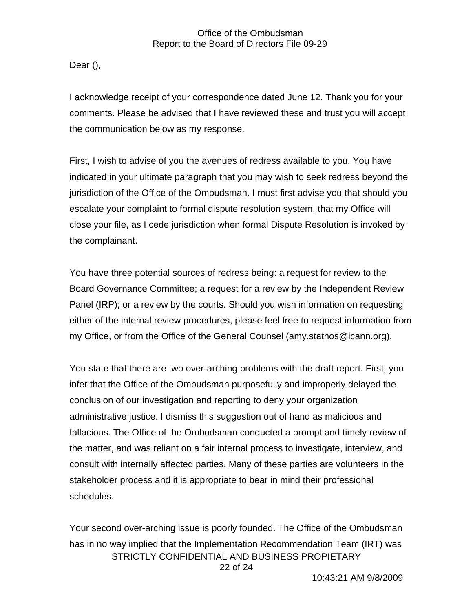Dear (),

I acknowledge receipt of your correspondence dated June 12. Thank you for your comments. Please be advised that I have reviewed these and trust you will accept the communication below as my response.

First, I wish to advise of you the avenues of redress available to you. You have indicated in your ultimate paragraph that you may wish to seek redress beyond the jurisdiction of the Office of the Ombudsman. I must first advise you that should you escalate your complaint to formal dispute resolution system, that my Office will close your file, as I cede jurisdiction when formal Dispute Resolution is invoked by the complainant.

You have three potential sources of redress being: a request for review to the Board Governance Committee; a request for a review by the Independent Review Panel (IRP); or a review by the courts. Should you wish information on requesting either of the internal review procedures, please feel free to request information from my Office, or from the Office of the General Counsel (amy.stathos@icann.org).

You state that there are two over-arching problems with the draft report. First, you infer that the Office of the Ombudsman purposefully and improperly delayed the conclusion of our investigation and reporting to deny your organization administrative justice. I dismiss this suggestion out of hand as malicious and fallacious. The Office of the Ombudsman conducted a prompt and timely review of the matter, and was reliant on a fair internal process to investigate, interview, and consult with internally affected parties. Many of these parties are volunteers in the stakeholder process and it is appropriate to bear in mind their professional schedules.

Your second over-arching issue is poorly founded. The Office of the Ombudsman has in no way implied that the Implementation Recommendation Team (IRT) was STRICTLY CONFIDENTIAL AND BUSINESS PROPIETARY 22 of 24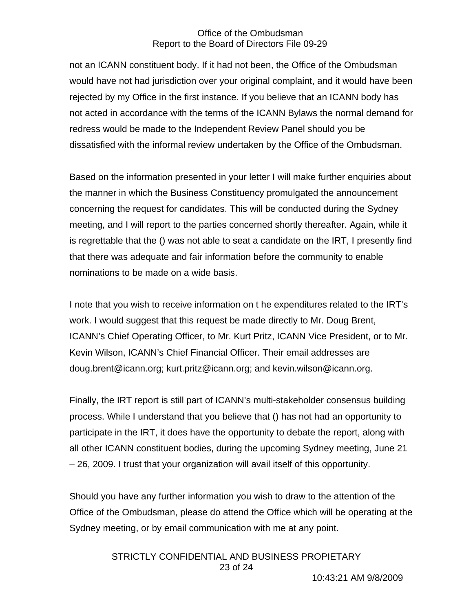not an ICANN constituent body. If it had not been, the Office of the Ombudsman would have not had jurisdiction over your original complaint, and it would have been rejected by my Office in the first instance. If you believe that an ICANN body has not acted in accordance with the terms of the ICANN Bylaws the normal demand for redress would be made to the Independent Review Panel should you be dissatisfied with the informal review undertaken by the Office of the Ombudsman.

Based on the information presented in your letter I will make further enquiries about the manner in which the Business Constituency promulgated the announcement concerning the request for candidates. This will be conducted during the Sydney meeting, and I will report to the parties concerned shortly thereafter. Again, while it is regrettable that the () was not able to seat a candidate on the IRT, I presently find that there was adequate and fair information before the community to enable nominations to be made on a wide basis.

I note that you wish to receive information on t he expenditures related to the IRT's work. I would suggest that this request be made directly to Mr. Doug Brent, ICANN's Chief Operating Officer, to Mr. Kurt Pritz, ICANN Vice President, or to Mr. Kevin Wilson, ICANN's Chief Financial Officer. Their email addresses are doug.brent@icann.org; kurt.pritz@icann.org; and kevin.wilson@icann.org.

Finally, the IRT report is still part of ICANN's multi-stakeholder consensus building process. While I understand that you believe that () has not had an opportunity to participate in the IRT, it does have the opportunity to debate the report, along with all other ICANN constituent bodies, during the upcoming Sydney meeting, June 21 – 26, 2009. I trust that your organization will avail itself of this opportunity.

Should you have any further information you wish to draw to the attention of the Office of the Ombudsman, please do attend the Office which will be operating at the Sydney meeting, or by email communication with me at any point.

> STRICTLY CONFIDENTIAL AND BUSINESS PROPIETARY 23 of 24